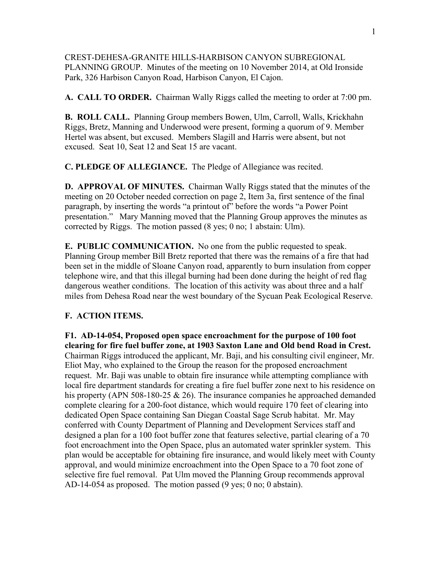CREST-DEHESA-GRANITE HILLS-HARBISON CANYON SUBREGIONAL PLANNING GROUP. Minutes of the meeting on 10 November 2014, at Old Ironside Park, 326 Harbison Canyon Road, Harbison Canyon, El Cajon.

**A. CALL TO ORDER.** Chairman Wally Riggs called the meeting to order at 7:00 pm.

**B. ROLL CALL.** Planning Group members Bowen, Ulm, Carroll, Walls, Krickhahn Riggs, Bretz, Manning and Underwood were present, forming a quorum of 9. Member Hertel was absent, but excused. Members Slagill and Harris were absent, but not excused. Seat 10, Seat 12 and Seat 15 are vacant.

**C. PLEDGE OF ALLEGIANCE.** The Pledge of Allegiance was recited.

**D. APPROVAL OF MINUTES.** Chairman Wally Riggs stated that the minutes of the meeting on 20 October needed correction on page 2, Item 3a, first sentence of the final paragraph, by inserting the words "a printout of" before the words "a Power Point presentation." Mary Manning moved that the Planning Group approves the minutes as corrected by Riggs. The motion passed (8 yes; 0 no; 1 abstain: Ulm).

**E. PUBLIC COMMUNICATION.** No one from the public requested to speak. Planning Group member Bill Bretz reported that there was the remains of a fire that had been set in the middle of Sloane Canyon road, apparently to burn insulation from copper telephone wire, and that this illegal burning had been done during the height of red flag dangerous weather conditions. The location of this activity was about three and a half miles from Dehesa Road near the west boundary of the Sycuan Peak Ecological Reserve.

## **F. ACTION ITEMS.**

**F1. AD-14-054, Proposed open space encroachment for the purpose of 100 foot clearing for fire fuel buffer zone, at 1903 Saxton Lane and Old bend Road in Crest.** Chairman Riggs introduced the applicant, Mr. Baji, and his consulting civil engineer, Mr. Eliot May, who explained to the Group the reason for the proposed encroachment request. Mr. Baji was unable to obtain fire insurance while attempting compliance with local fire department standards for creating a fire fuel buffer zone next to his residence on his property (APN 508-180-25 & 26). The insurance companies he approached demanded complete clearing for a 200-foot distance, which would require 170 feet of clearing into dedicated Open Space containing San Diegan Coastal Sage Scrub habitat. Mr. May conferred with County Department of Planning and Development Services staff and designed a plan for a 100 foot buffer zone that features selective, partial clearing of a 70 foot encroachment into the Open Space, plus an automated water sprinkler system. This plan would be acceptable for obtaining fire insurance, and would likely meet with County approval, and would minimize encroachment into the Open Space to a 70 foot zone of selective fire fuel removal. Pat Ulm moved the Planning Group recommends approval AD-14-054 as proposed. The motion passed (9 yes; 0 no; 0 abstain).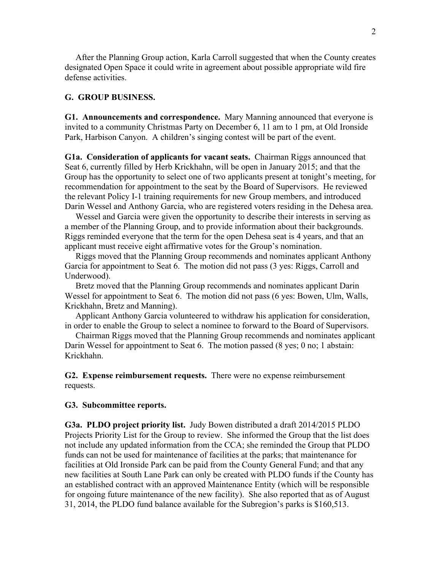After the Planning Group action, Karla Carroll suggested that when the County creates designated Open Space it could write in agreement about possible appropriate wild fire defense activities.

## **G. GROUP BUSINESS.**

**G1. Announcements and correspondence.** Mary Manning announced that everyone is invited to a community Christmas Party on December 6, 11 am to 1 pm, at Old Ironside Park, Harbison Canyon. A children's singing contest will be part of the event.

**G1a. Consideration of applicants for vacant seats.** Chairman Riggs announced that Seat 6, currently filled by Herb Krickhahn, will be open in January 2015; and that the Group has the opportunity to select one of two applicants present at tonight's meeting, for recommendation for appointment to the seat by the Board of Supervisors. He reviewed the relevant Policy I-1 training requirements for new Group members, and introduced Darin Wessel and Anthony Garcia, who are registered voters residing in the Dehesa area.

 Wessel and Garcia were given the opportunity to describe their interests in serving as a member of the Planning Group, and to provide information about their backgrounds. Riggs reminded everyone that the term for the open Dehesa seat is 4 years, and that an applicant must receive eight affirmative votes for the Group's nomination.

 Riggs moved that the Planning Group recommends and nominates applicant Anthony Garcia for appointment to Seat 6. The motion did not pass (3 yes: Riggs, Carroll and Underwood).

 Bretz moved that the Planning Group recommends and nominates applicant Darin Wessel for appointment to Seat 6. The motion did not pass (6 yes: Bowen, Ulm, Walls, Krickhahn, Bretz and Manning).

 Applicant Anthony Garcia volunteered to withdraw his application for consideration, in order to enable the Group to select a nominee to forward to the Board of Supervisors.

 Chairman Riggs moved that the Planning Group recommends and nominates applicant Darin Wessel for appointment to Seat 6. The motion passed (8 yes; 0 no; 1 abstain: Krickhahn.

**G2. Expense reimbursement requests.** There were no expense reimbursement requests.

## **G3. Subcommittee reports.**

**G3a. PLDO project priority list.** Judy Bowen distributed a draft 2014/2015 PLDO Projects Priority List for the Group to review. She informed the Group that the list does not include any updated information from the CCA; she reminded the Group that PLDO funds can not be used for maintenance of facilities at the parks; that maintenance for facilities at Old Ironside Park can be paid from the County General Fund; and that any new facilities at South Lane Park can only be created with PLDO funds if the County has an established contract with an approved Maintenance Entity (which will be responsible for ongoing future maintenance of the new facility). She also reported that as of August 31, 2014, the PLDO fund balance available for the Subregion's parks is \$160,513.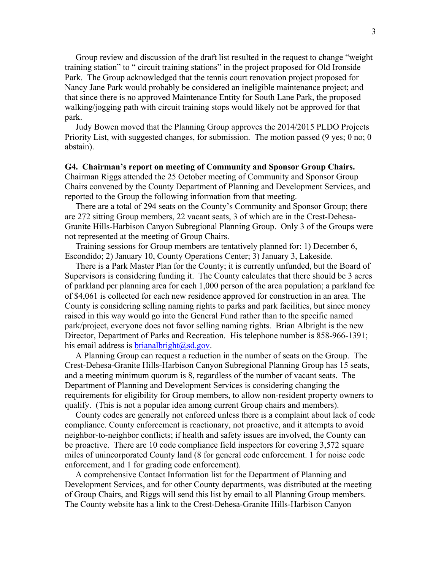Group review and discussion of the draft list resulted in the request to change "weight training station" to " circuit training stations" in the project proposed for Old Ironside Park. The Group acknowledged that the tennis court renovation project proposed for Nancy Jane Park would probably be considered an ineligible maintenance project; and that since there is no approved Maintenance Entity for South Lane Park, the proposed walking/jogging path with circuit training stops would likely not be approved for that park.

 Judy Bowen moved that the Planning Group approves the 2014/2015 PLDO Projects Priority List, with suggested changes, for submission. The motion passed (9 yes; 0 no; 0 abstain).

## **G4. Chairman's report on meeting of Community and Sponsor Group Chairs.**

Chairman Riggs attended the 25 October meeting of Community and Sponsor Group Chairs convened by the County Department of Planning and Development Services, and reported to the Group the following information from that meeting.

 There are a total of 294 seats on the County's Community and Sponsor Group; there are 272 sitting Group members, 22 vacant seats, 3 of which are in the Crest-Dehesa-Granite Hills-Harbison Canyon Subregional Planning Group. Only 3 of the Groups were not represented at the meeting of Group Chairs.

 Training sessions for Group members are tentatively planned for: 1) December 6, Escondido; 2) January 10, County Operations Center; 3) January 3, Lakeside.

 There is a Park Master Plan for the County; it is currently unfunded, but the Board of Supervisors is considering funding it. The County calculates that there should be 3 acres of parkland per planning area for each 1,000 person of the area population; a parkland fee of \$4,061 is collected for each new residence approved for construction in an area. The County is considering selling naming rights to parks and park facilities, but since money raised in this way would go into the General Fund rather than to the specific named park/project, everyone does not favor selling naming rights. Brian Albright is the new Director, Department of Parks and Recreation. His telephone number is 858-966-1391; his email address is brianalbright@sd.gov.

 A Planning Group can request a reduction in the number of seats on the Group. The Crest-Dehesa-Granite Hills-Harbison Canyon Subregional Planning Group has 15 seats, and a meeting minimum quorum is 8, regardless of the number of vacant seats. The Department of Planning and Development Services is considering changing the requirements for eligibility for Group members, to allow non-resident property owners to qualify. (This is not a popular idea among current Group chairs and members).

 County codes are generally not enforced unless there is a complaint about lack of code compliance. County enforcement is reactionary, not proactive, and it attempts to avoid neighbor-to-neighbor conflicts; if health and safety issues are involved, the County can be proactive. There are 10 code compliance field inspectors for covering 3,572 square miles of unincorporated County land (8 for general code enforcement. 1 for noise code enforcement, and 1 for grading code enforcement).

 A comprehensive Contact Information list for the Department of Planning and Development Services, and for other County departments, was distributed at the meeting of Group Chairs, and Riggs will send this list by email to all Planning Group members. The County website has a link to the Crest-Dehesa-Granite Hills-Harbison Canyon